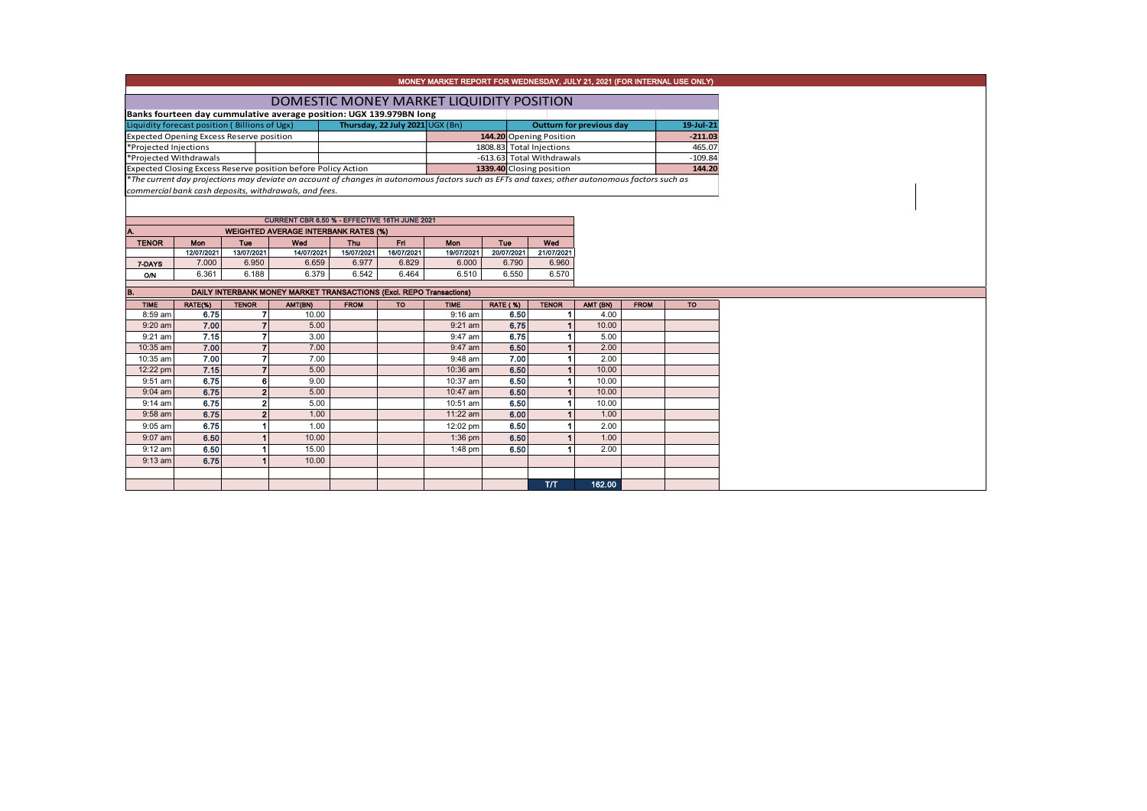|                        |                                                 |                          |                                                                                                                                               |                                 |                   | MONEY MARKET REPORT FOR WEDNESDAY, JULY 21, 2021 (FOR INTERNAL USE ONLY) |                                 |                           |           |             |           |  |  |  |  |
|------------------------|-------------------------------------------------|--------------------------|-----------------------------------------------------------------------------------------------------------------------------------------------|---------------------------------|-------------------|--------------------------------------------------------------------------|---------------------------------|---------------------------|-----------|-------------|-----------|--|--|--|--|
|                        |                                                 |                          |                                                                                                                                               |                                 |                   |                                                                          |                                 |                           |           |             |           |  |  |  |  |
|                        |                                                 |                          | DOMESTIC MONEY MARKET LIQUIDITY POSITION                                                                                                      |                                 |                   |                                                                          |                                 |                           |           |             |           |  |  |  |  |
|                        |                                                 |                          | Banks fourteen day cummulative average position: UGX 139.979BN long                                                                           |                                 |                   |                                                                          |                                 |                           |           |             |           |  |  |  |  |
|                        | Liquidity forecast position (Billions of Ugx)   |                          |                                                                                                                                               | Thursday, 22 July 2021 UGX (Bn) |                   |                                                                          | <b>Outturn for previous day</b> |                           | 19-Jul-21 |             |           |  |  |  |  |
|                        | <b>Expected Opening Excess Reserve position</b> |                          |                                                                                                                                               |                                 |                   | 144.20 Opening Position                                                  |                                 |                           | $-211.03$ |             |           |  |  |  |  |
| *Projected Injections  |                                                 |                          |                                                                                                                                               |                                 |                   |                                                                          | 1808.83 Total Injections        |                           | 465.07    |             |           |  |  |  |  |
| *Projected Withdrawals |                                                 |                          |                                                                                                                                               |                                 |                   |                                                                          |                                 | -613.63 Total Withdrawals | $-109.84$ |             |           |  |  |  |  |
|                        |                                                 |                          | Expected Closing Excess Reserve position before Policy Action                                                                                 |                                 |                   |                                                                          | 1339.40 Closing position        |                           |           |             | 144.20    |  |  |  |  |
|                        |                                                 |                          | *The current day projections may deviate on account of changes in autonomous factors such as EFTs and taxes; other autonomous factors such as |                                 |                   |                                                                          |                                 |                           |           |             |           |  |  |  |  |
|                        |                                                 |                          | commercial bank cash deposits, withdrawals, and fees.                                                                                         |                                 |                   |                                                                          |                                 |                           |           |             |           |  |  |  |  |
|                        |                                                 |                          |                                                                                                                                               |                                 |                   |                                                                          |                                 |                           |           |             |           |  |  |  |  |
|                        |                                                 |                          | CURRENT CBR 6.50 % - EFFECTIVE 16TH JUNE 2021                                                                                                 |                                 |                   |                                                                          |                                 |                           |           |             |           |  |  |  |  |
|                        |                                                 |                          |                                                                                                                                               |                                 |                   |                                                                          |                                 |                           |           |             |           |  |  |  |  |
| <b>TENOR</b>           | Mon                                             |                          |                                                                                                                                               |                                 |                   |                                                                          |                                 |                           |           |             |           |  |  |  |  |
|                        | 12/07/2021                                      | <b>Tuo</b><br>13/07/2021 | Wed<br>14/07/2021                                                                                                                             | <b>Thu</b><br>15/07/2021        | Fri<br>16/07/2021 | <b>Mon</b><br>19/07/2021                                                 | Tue<br>20/07/2021               | Wed<br>21/07/2021         |           |             |           |  |  |  |  |
| 7-DAYS                 | 7.000                                           | 6.950                    | 6.659                                                                                                                                         | 6.977                           | 6.829             | 6.000                                                                    | 6.790                           | 6.960                     |           |             |           |  |  |  |  |
| <b>O/N</b>             | 6.361                                           | 6.188                    | 6.379                                                                                                                                         | 6.542                           | 6.464             | 6.510                                                                    | 6.550                           | 6.570                     |           |             |           |  |  |  |  |
|                        |                                                 |                          |                                                                                                                                               |                                 |                   |                                                                          |                                 |                           |           |             |           |  |  |  |  |
| B.                     |                                                 |                          | DAILY INTERBANK MONEY MARKET TRANSACTIONS (Excl. REPO Transactions)                                                                           |                                 |                   |                                                                          |                                 |                           |           |             |           |  |  |  |  |
| <b>TIME</b>            | RATE(%)                                         | <b>TENOR</b>             | AMT(BN)                                                                                                                                       | <b>FROM</b>                     | <b>TO</b>         | <b>TIME</b>                                                              | <b>RATE (%)</b>                 | <b>TENOR</b>              | AMT (BN)  | <b>FROM</b> | <b>TO</b> |  |  |  |  |
| 8:59 am                | 6.75                                            | $\overline{7}$           | 10.00                                                                                                                                         |                                 |                   | 9:16 am                                                                  | 6.50                            |                           | 4.00      |             |           |  |  |  |  |
| $9:20$ am              | 7.00                                            | $\overline{7}$           | 5.00                                                                                                                                          |                                 |                   | 9:21 am                                                                  | 6.75                            |                           | 10.00     |             |           |  |  |  |  |
| $9:21$ am              | 7.15                                            | $\overline{7}$           | 3.00                                                                                                                                          |                                 |                   | 9:47 am                                                                  | 6.75                            |                           | 5.00      |             |           |  |  |  |  |
| 10:35 am               | 7.00                                            | $\overline{7}$           | 7.00                                                                                                                                          |                                 |                   | 9:47 am                                                                  | 6.50                            |                           | 2.00      |             |           |  |  |  |  |
| 10:35 am               | 7.00                                            | 7                        | 7.00                                                                                                                                          |                                 |                   | 9:48 am                                                                  | 7.00                            |                           | 2.00      |             |           |  |  |  |  |
| 12:22 pm               | 7.15                                            | $\overline{7}$           | 5.00                                                                                                                                          |                                 |                   | 10:36 am                                                                 | 6.50                            |                           | 10.00     |             |           |  |  |  |  |
| 9:51 am                | 6.75                                            | 6                        | 9.00                                                                                                                                          |                                 |                   | 10:37 am                                                                 | 6.50                            |                           | 10.00     |             |           |  |  |  |  |
| $9:04$ am              | 6.75                                            | $\overline{2}$           | 5.00                                                                                                                                          |                                 |                   | 10:47 am                                                                 | 6.50                            |                           | 10.00     |             |           |  |  |  |  |
| $9:14$ am              | 6.75                                            | $\overline{2}$           | 5.00                                                                                                                                          |                                 |                   | 10:51 am                                                                 | 6.50                            |                           | 10.00     |             |           |  |  |  |  |
| 9:58 am                | 6.75                                            | $\overline{2}$           | 1.00                                                                                                                                          |                                 |                   | 11:22 am                                                                 | 6.00                            |                           | 1.00      |             |           |  |  |  |  |
| $9:05$ am              | 6.75                                            | 1                        | 1.00                                                                                                                                          |                                 |                   | 12:02 pm                                                                 | 6.50                            |                           | 2.00      |             |           |  |  |  |  |
| 9:07 am                | 6.50                                            | 1                        | 10.00                                                                                                                                         |                                 |                   | 1:36 pm                                                                  | 6.50                            |                           | 1.00      |             |           |  |  |  |  |
| $9:12$ am              | 6.50                                            | 1                        | 15.00                                                                                                                                         |                                 |                   | $1:48$ pm                                                                | 6.50                            |                           | 2.00      |             |           |  |  |  |  |
| $9:13$ am              | 6.75                                            | 1                        | 10.00                                                                                                                                         |                                 |                   |                                                                          |                                 |                           |           |             |           |  |  |  |  |
|                        |                                                 |                          |                                                                                                                                               |                                 |                   |                                                                          |                                 |                           |           |             |           |  |  |  |  |
|                        |                                                 |                          |                                                                                                                                               |                                 |                   |                                                                          |                                 | TЛ                        | 162.00    |             |           |  |  |  |  |
|                        |                                                 |                          |                                                                                                                                               |                                 |                   |                                                                          |                                 |                           |           |             |           |  |  |  |  |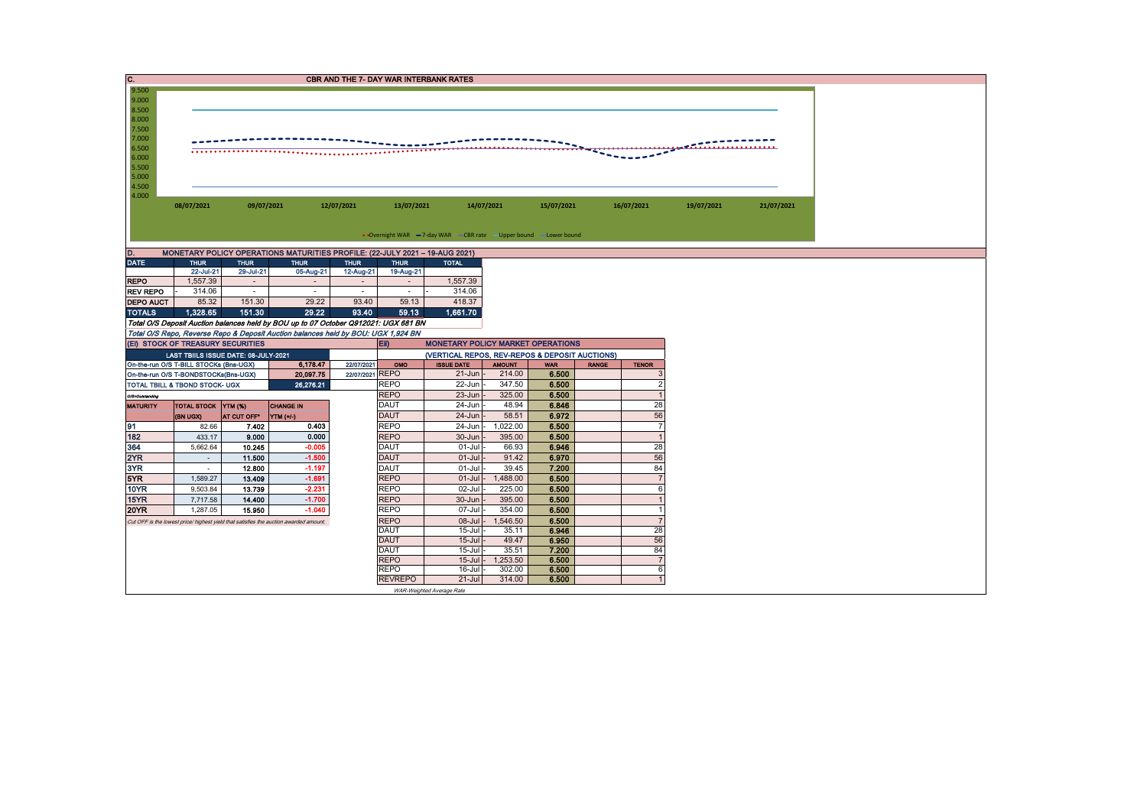| C.               |                                        |             |                                                                                                                                                                          |                 |                                                                                            | <b>CBR AND THE 7- DAY WAR INTERBANK RATES</b>                     |                    |                |              |                     |            |            |  |  |  |
|------------------|----------------------------------------|-------------|--------------------------------------------------------------------------------------------------------------------------------------------------------------------------|-----------------|--------------------------------------------------------------------------------------------|-------------------------------------------------------------------|--------------------|----------------|--------------|---------------------|------------|------------|--|--|--|
| 9.500            |                                        |             |                                                                                                                                                                          |                 |                                                                                            |                                                                   |                    |                |              |                     |            |            |  |  |  |
| 9.000            |                                        |             |                                                                                                                                                                          |                 |                                                                                            |                                                                   |                    |                |              |                     |            |            |  |  |  |
| 8.500            |                                        |             |                                                                                                                                                                          |                 |                                                                                            |                                                                   |                    |                |              |                     |            |            |  |  |  |
| 8.000            |                                        |             |                                                                                                                                                                          |                 |                                                                                            |                                                                   |                    |                |              |                     |            |            |  |  |  |
| 7.500<br>7.000   |                                        |             |                                                                                                                                                                          |                 |                                                                                            |                                                                   |                    |                |              |                     |            |            |  |  |  |
| 6.500            |                                        |             |                                                                                                                                                                          |                 |                                                                                            |                                                                   |                    |                |              |                     |            |            |  |  |  |
| 6.000            |                                        |             |                                                                                                                                                                          |                 |                                                                                            |                                                                   |                    |                |              |                     |            |            |  |  |  |
| 5.500            |                                        |             |                                                                                                                                                                          |                 |                                                                                            |                                                                   |                    |                |              |                     |            |            |  |  |  |
| 5.000            |                                        |             |                                                                                                                                                                          |                 |                                                                                            |                                                                   |                    |                |              |                     |            |            |  |  |  |
| 4.500            |                                        |             |                                                                                                                                                                          |                 |                                                                                            |                                                                   |                    |                |              |                     |            |            |  |  |  |
| 4.000            |                                        |             |                                                                                                                                                                          |                 |                                                                                            |                                                                   |                    |                |              |                     |            |            |  |  |  |
|                  | 08/07/2021                             | 09/07/2021  |                                                                                                                                                                          | 12/07/2021      | 13/07/2021                                                                                 |                                                                   | 14/07/2021         | 15/07/2021     |              | 16/07/2021          | 19/07/2021 | 21/07/2021 |  |  |  |
|                  |                                        |             |                                                                                                                                                                          |                 |                                                                                            |                                                                   |                    |                |              |                     |            |            |  |  |  |
|                  |                                        |             |                                                                                                                                                                          |                 |                                                                                            | • Overnight WAR -7-day WAR - CBR rate - Upper bound - Lower bound |                    |                |              |                     |            |            |  |  |  |
|                  |                                        |             |                                                                                                                                                                          |                 |                                                                                            |                                                                   |                    |                |              |                     |            |            |  |  |  |
| D.               |                                        |             | MONETARY POLICY OPERATIONS MATURITIES PROFILE: (22-JULY 2021 - 19-AUG 2021)                                                                                              |                 |                                                                                            |                                                                   |                    |                |              |                     |            |            |  |  |  |
| <b>DATE</b>      | <b>THUR</b>                            | <b>THUR</b> | <b>THUR</b>                                                                                                                                                              | <b>THUR</b>     | <b>THUR</b>                                                                                | <b>TOTAL</b>                                                      |                    |                |              |                     |            |            |  |  |  |
|                  | 22-Jul-21                              | 29-Jul-21   | 05-Aug-21                                                                                                                                                                | 12-Aug-21       | 19-Aug-21                                                                                  |                                                                   |                    |                |              |                     |            |            |  |  |  |
| <b>REPO</b>      | 1,557.39                               | $\sim$      | $\sim$                                                                                                                                                                   | $\sim$          | $\sim$                                                                                     | 1,557.39                                                          |                    |                |              |                     |            |            |  |  |  |
| <b>REV REPO</b>  | 314.06                                 | $\sim$      | $\sim$                                                                                                                                                                   | $\sim$          | $\sim$                                                                                     | 314.06                                                            |                    |                |              |                     |            |            |  |  |  |
| <b>DEPO AUCT</b> | 85.32                                  | 151.30      | 29.22                                                                                                                                                                    | 93.40           | 59.13                                                                                      | 418.37                                                            |                    |                |              |                     |            |            |  |  |  |
| <b>TOTALS</b>    | 1.328.65                               | 151.30      | 29.22                                                                                                                                                                    | 93.40           | 59.13                                                                                      | 1,661.70                                                          |                    |                |              |                     |            |            |  |  |  |
|                  |                                        |             | Total O/S Deposit Auction balances held by BOU up to 07 October Q912021: UGX 681 BN<br>Total O/S Repo, Reverse Repo & Deposit Auction balances held by BOU: UGX 1,924 BN |                 |                                                                                            |                                                                   |                    |                |              |                     |            |            |  |  |  |
|                  | (EI) STOCK OF TREASURY SECURITIES      |             |                                                                                                                                                                          |                 | Eii)                                                                                       |                                                                   |                    |                |              |                     |            |            |  |  |  |
|                  | LAST TBIILS ISSUE DATE: 08-JULY-2021   |             |                                                                                                                                                                          |                 | <b>MONETARY POLICY MARKET OPERATIONS</b><br>(VERTICAL REPOS, REV-REPOS & DEPOSIT AUCTIONS) |                                                                   |                    |                |              |                     |            |            |  |  |  |
|                  | On-the-run O/S T-BILL STOCKs (Bns-UGX) |             | 6,178.47                                                                                                                                                                 | 22/07/2021      | OMO                                                                                        | <b>ISSUE DATE</b>                                                 | <b>AMOUNT</b>      | <b>WAR</b>     | <b>RANGE</b> | <b>TENOR</b>        |            |            |  |  |  |
|                  | On-the-run O/S T-BONDSTOCKs(Bns-UGX)   |             | 20,097.75                                                                                                                                                                | 22/07/2021 REPO |                                                                                            | 21-Jun                                                            | 214.00             | 6.500          |              | 3                   |            |            |  |  |  |
|                  | TOTAL TBILL & TBOND STOCK- UGX         |             | 26.276.21                                                                                                                                                                |                 | <b>REPO</b>                                                                                | 22-Jun                                                            | 347.50             | 6.500          |              | $\overline{2}$      |            |            |  |  |  |
| O/S=Outstanding  |                                        |             |                                                                                                                                                                          |                 | <b>REPO</b>                                                                                | 23-Jun                                                            | 325.00             | 6.500          |              | $\overline{1}$      |            |            |  |  |  |
| <b>MATURITY</b>  | TOTAL STOCK YTM (%)                    |             | <b>CHANGE IN</b>                                                                                                                                                         |                 | DAUT                                                                                       | 24-Jun                                                            | 48.94              | 6.846          |              | 28                  |            |            |  |  |  |
|                  | (BN UGX)                               | AT CUT OFF* | VTM(1')                                                                                                                                                                  |                 | <b>DAUT</b>                                                                                | 24-Jun                                                            | 58.51              | 6.972          |              | 56                  |            |            |  |  |  |
| 91               | 82.66                                  | 7.402       | 0.403                                                                                                                                                                    |                 | <b>REPO</b>                                                                                | 24-Jun                                                            | 1,022.00           | 6.500          |              | $\overline{7}$      |            |            |  |  |  |
| 182              | 433.17                                 | 9.000       | 0.000                                                                                                                                                                    |                 | <b>REPO</b>                                                                                | 30-Jun                                                            | 395.00             | 6.500          |              | $\overline{1}$      |            |            |  |  |  |
| 364              | 5,662.64                               | 10.245      | $-0.005$                                                                                                                                                                 |                 | DAUT                                                                                       | 01-Jul                                                            | 66.93              | 6.946          |              | 28                  |            |            |  |  |  |
| 2YR              | $\sim$                                 | 11.500      | $-1.500$                                                                                                                                                                 |                 | <b>DAUT</b>                                                                                | $01-Jul$                                                          | 91.42              | 6.970          |              | 56                  |            |            |  |  |  |
| 3YR              | $\sim$                                 | 12.800      | $-1.197$                                                                                                                                                                 |                 | DAUT                                                                                       | $01-Jul$                                                          | 39.45              | 7.200          |              | 84                  |            |            |  |  |  |
| 5YR              | 1,589.27                               | 13.409      | $-1.691$                                                                                                                                                                 |                 | <b>REPO</b>                                                                                | $01-Jul$                                                          | 1,488.00           | 6.500          |              | $\overline{7}$      |            |            |  |  |  |
| <b>10YR</b>      | 9,503.84                               | 13.739      | $-2.231$                                                                                                                                                                 |                 | <b>REPO</b>                                                                                | 02-Jul                                                            | 225.00             | 6.500          |              | 6                   |            |            |  |  |  |
| 15YR             | 7,717.58                               | 14.400      | $-1.700$                                                                                                                                                                 |                 | <b>REPO</b>                                                                                | 30-Jun                                                            | 395.00             | 6.500          |              | $\overline{1}$      |            |            |  |  |  |
| <b>20YR</b>      | 1,287.05                               | 15,950      | $-1.040$                                                                                                                                                                 |                 | <b>REPO</b>                                                                                | 07-Jul                                                            | 354.00             | 6.500          |              |                     |            |            |  |  |  |
|                  |                                        |             | Cut OFF is the lowest price/ highest yield that satisfies the auction awarded amount.                                                                                    |                 | <b>REPO</b>                                                                                | 08-Jul                                                            | 1,546.50           | 6.500          |              | $\overline{7}$      |            |            |  |  |  |
|                  |                                        |             |                                                                                                                                                                          |                 | DAUT                                                                                       | $15 -$ Jul                                                        | 35.11              | 6.946          |              | 28                  |            |            |  |  |  |
|                  |                                        |             |                                                                                                                                                                          |                 | <b>DAUT</b>                                                                                | $15 -$ Jul                                                        | 49.47              | 6.950          |              | 56                  |            |            |  |  |  |
|                  |                                        |             |                                                                                                                                                                          |                 | DAUT                                                                                       | 15-Jul                                                            | 35.51              | 7.200          |              | 84                  |            |            |  |  |  |
|                  |                                        |             |                                                                                                                                                                          |                 | <b>REPO</b><br><b>REPO</b>                                                                 | $15 -$ Jul<br>16-Jul                                              | 1,253.50<br>302.00 | 6.500<br>6.500 |              | $\overline{7}$<br>6 |            |            |  |  |  |
|                  |                                        |             |                                                                                                                                                                          |                 | <b>REVREPO</b>                                                                             | $21 -$ Jul                                                        | 314.00             | 6.500          |              |                     |            |            |  |  |  |
|                  |                                        |             |                                                                                                                                                                          |                 |                                                                                            | WAR-Weighted Average Rate                                         |                    |                |              |                     |            |            |  |  |  |
|                  |                                        |             |                                                                                                                                                                          |                 |                                                                                            |                                                                   |                    |                |              |                     |            |            |  |  |  |